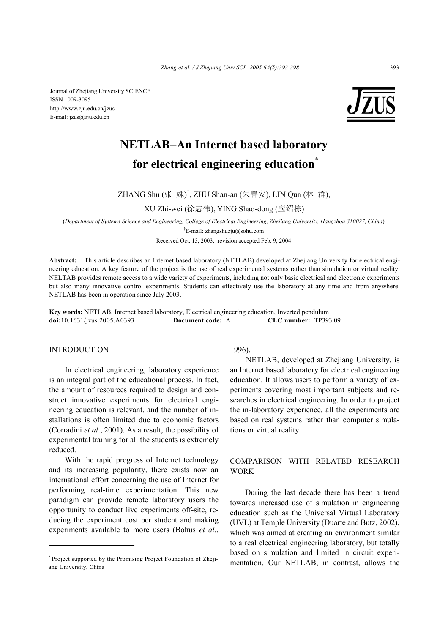Journal of Zhejiang University SCIENCE ISSN 1009-3095 http://www.zju.edu.cn/jzus E-mail: jzus@zju.edu.cn



# **NETLAB**−**An Internet based laboratory for electrical engineering education\***

ZHANG Shu (张 姝)<sup>†</sup>, ZHU Shan-an (朱善安), LIN Qun (林 群),

XU Zhi-wei (徐志伟), YING Shao-dong (应绍栋)

(*Department of Systems Science and Engineering, College of Electrical Engineering, Zhejiang University, Hangzhou 310027, China*) † E-mail: zhangshuzju@sohu.com

Received Oct. 13, 2003; revision accepted Feb. 9, 2004

**Abstract:** This article describes an Internet based laboratory (NETLAB) developed at Zhejiang University for electrical engineering education. A key feature of the project is the use of real experimental systems rather than simulation or virtual reality. NELTAB provides remote access to a wide variety of experiments, including not only basic electrical and electronic experiments but also many innovative control experiments. Students can effectively use the laboratory at any time and from anywhere. NETLAB has been in operation since July 2003.

**Key words:** NETLAB, Internet based laboratory, Electrical engineering education, Inverted pendulum **doi:**10.1631/jzus.2005.A0393 **Document code:** A **CLC number:** TP393.09

# **INTRODUCTION**

In electrical engineering, laboratory experience is an integral part of the educational process. In fact, the amount of resources required to design and construct innovative experiments for electrical engineering education is relevant, and the number of installations is often limited due to economic factors (Corradini *et al*., 2001). As a result, the possibility of experimental training for all the students is extremely reduced.

With the rapid progress of Internet technology and its increasing popularity, there exists now an international effort concerning the use of Internet for performing real-time experimentation. This new paradigm can provide remote laboratory users the opportunity to conduct live experiments off-site, reducing the experiment cost per student and making experiments available to more users (Bohus *et al*., 1996).

NETLAB, developed at Zhejiang University, is an Internet based laboratory for electrical engineering education. It allows users to perform a variety of experiments covering most important subjects and researches in electrical engineering. In order to project the in-laboratory experience, all the experiments are based on real systems rather than computer simulations or virtual reality.

# COMPARISON WITH RELATED RESEARCH WORK

During the last decade there has been a trend towards increased use of simulation in engineering education such as the Universal Virtual Laboratory (UVL) at Temple University (Duarte and Butz, 2002), which was aimed at creating an environment similar to a real electrical engineering laboratory, but totally based on simulation and limited in circuit experimentation. Our NETLAB, in contrast, allows the

<sup>\*</sup> Project supported by the Promising Project Foundation of Zhejiang University, China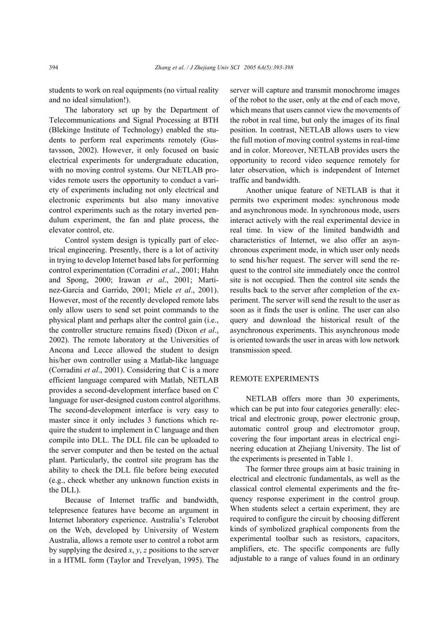students to work on real equipments (no virtual reality and no ideal simulation!).

The laboratory set up by the Department of Telecommunications and Signal Processing at BTH (Blekinge Institute of Technology) enabled the students to perform real experiments remotely (Gustavsson, 2002). However, it only focused on basic electrical experiments for undergraduate education, with no moving control systems. Our NETLAB provides remote users the opportunity to conduct a variety of experiments including not only electrical and electronic experiments but also many innovative control experiments such as the rotary inverted pendulum experiment, the fan and plate process, the elevator control, etc.

Control system design is typically part of electrical engineering. Presently, there is a lot of activity in trying to develop Internet based labs for performing control experimentation (Corradini *et al*., 2001; Hahn and Spong, 2000; Irawan *et al*., 2001; Martinez-Garcia and Garrido, 2001; Miele *et al*., 2001). However, most of the recently developed remote labs only allow users to send set point commands to the physical plant and perhaps alter the control gain (i.e., the controller structure remains fixed) (Dixon *et al*., 2002). The remote laboratory at the Universities of Ancona and Lecce allowed the student to design his/her own controller using a Matlab-like language (Corradini *et al*., 2001). Considering that C is a more efficient language compared with Matlab, NETLAB provides a second-development interface based on C language for user-designed custom control algorithms. The second-development interface is very easy to master since it only includes 3 functions which require the student to implement in C language and then compile into DLL. The DLL file can be uploaded to the server computer and then be tested on the actual plant. Particularly, the control site program has the ability to check the DLL file before being executed (e.g., check whether any unknown function exists in the DLL).

Because of Internet traffic and bandwidth, telepresence features have become an argument in Internet laboratory experience. Australia's Telerobot on the Web, developed by University of Western Australia, allows a remote user to control a robot arm by supplying the desired *x*, *y*, *z* positions to the server in a HTML form (Taylor and Trevelyan, 1995). The server will capture and transmit monochrome images of the robot to the user, only at the end of each move, which means that users cannot view the movements of the robot in real time, but only the images of its final position. In contrast, NETLAB allows users to view the full motion of moving control systems in real-time and in color. Moreover, NETLAB provides users the opportunity to record video sequence remotely for later observation, which is independent of Internet traffic and bandwidth.

Another unique feature of NETLAB is that it permits two experiment modes: synchronous mode and asynchronous mode. In synchronous mode, users interact actively with the real experimental device in real time. In view of the limited bandwidth and characteristics of Internet, we also offer an asynchronous experiment mode, in which user only needs to send his/her request. The server will send the request to the control site immediately once the control site is not occupied. Then the control site sends the results back to the server after completion of the experiment. The server will send the result to the user as soon as it finds the user is online. The user can also query and download the historical result of the asynchronous experiments. This asynchronous mode is oriented towards the user in areas with low network transmission speed.

## REMOTE EXPERIMENTS

NETLAB offers more than 30 experiments, which can be put into four categories generally: electrical and electronic group, power electronic group, automatic control group and electromotor group, covering the four important areas in electrical engineering education at Zhejiang University. The list of the experiments is presented in Table 1.

The former three groups aim at basic training in electrical and electronic fundamentals, as well as the classical control elemental experiments and the frequency response experiment in the control group. When students select a certain experiment, they are required to configure the circuit by choosing different kinds of symbolized graphical components from the experimental toolbar such as resistors, capacitors, amplifiers, etc. The specific components are fully adjustable to a range of values found in an ordinary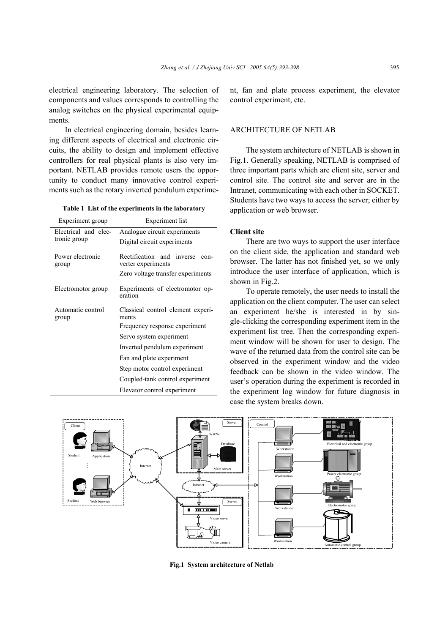electrical engineering laboratory. The selection of components and values corresponds to controlling the analog switches on the physical experimental equipments.

In electrical engineering domain, besides learning different aspects of electrical and electronic circuits, the ability to design and implement effective controllers for real physical plants is also very important. NETLAB provides remote users the opportunity to conduct many innovative control experiments such as the rotary inverted pendulum experime-

**Table 1 List of the experiments in the laboratory**

| Experiment group                     | <b>Experiment</b> list                                  |
|--------------------------------------|---------------------------------------------------------|
| Electrical and elec-<br>tronic group | Analogue circuit experiments                            |
|                                      | Digital circuit experiments                             |
| Power electronic<br>group            | Rectification and inverse<br>con-<br>verter experiments |
|                                      | Zero voltage transfer experiments                       |
| Electromotor group                   | Experiments of electromotor op-<br>eration              |
| Automatic control<br>group           | Classical control element experi-<br>ments              |
|                                      | Frequency response experiment                           |
|                                      | Servo system experiment                                 |
|                                      | Inverted pendulum experiment                            |
|                                      | Fan and plate experiment                                |
|                                      | Step motor control experiment                           |
|                                      | Coupled-tank control experiment                         |
|                                      | Elevator control experiment                             |

nt, fan and plate process experiment, the elevator control experiment, etc.

## ARCHITECTURE OF NETLAB

The system architecture of NETLAB is shown in Fig.1. Generally speaking, NETLAB is comprised of three important parts which are client site, server and control site. The control site and server are in the Intranet, communicating with each other in SOCKET. Students have two ways to access the server; either by application or web browser.

### **Client site**

There are two ways to support the user interface on the client side, the application and standard web browser. The latter has not finished yet, so we only introduce the user interface of application, which is shown in Fig.2.

To operate remotely, the user needs to install the application on the client computer. The user can select an experiment he/she is interested in by single-clicking the corresponding experiment item in the experiment list tree. Then the corresponding experiment window will be shown for user to design. The wave of the returned data from the control site can be observed in the experiment window and the video feedback can be shown in the video window. The user's operation during the experiment is recorded in the experiment log window for future diagnosis in case the system breaks down.



**Fig.1 System architecture of Netlab**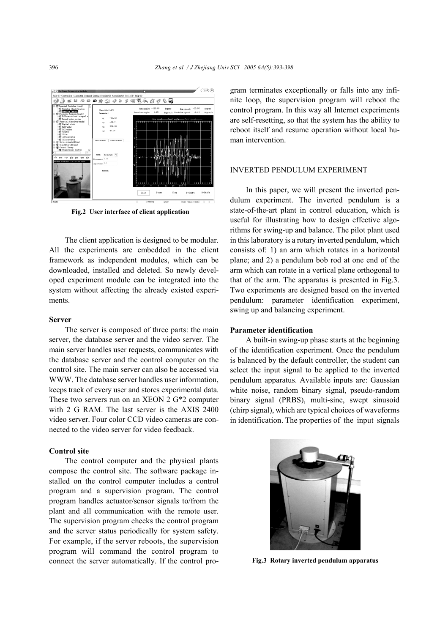

**Fig.2 User interface of client application**

The client application is designed to be modular. All the experiments are embedded in the client framework as independent modules, which can be downloaded, installed and deleted. So newly developed experiment module can be integrated into the system without affecting the already existed experiments.

#### **Server**

The server is composed of three parts: the main server, the database server and the video server. The main server handles user requests, communicates with the database server and the control computer on the control site. The main server can also be accessed via WWW. The database server handles user information, keeps track of every user and stores experimental data. These two servers run on an XEON 2 G\*2 computer with 2 G RAM. The last server is the AXIS 2400 video server. Four color CCD video cameras are connected to the video server for video feedback.

# **Control site**

The control computer and the physical plants compose the control site. The software package installed on the control computer includes a control program and a supervision program. The control program handles actuator/sensor signals to/from the plant and all communication with the remote user. The supervision program checks the control program and the server status periodically for system safety. For example, if the server reboots, the supervision program will command the control program to connect the server automatically. If the control program terminates exceptionally or falls into any infinite loop, the supervision program will reboot the control program. In this way all Internet experiments are self-resetting, so that the system has the ability to reboot itself and resume operation without local human intervention.

## INVERTED PENDULUM EXPERIMENT

In this paper, we will present the inverted pendulum experiment. The inverted pendulum is a state-of-the-art plant in control education, which is useful for illustrating how to design effective algorithms for swing-up and balance. The pilot plant used in this laboratory is a rotary inverted pendulum, which consists of: 1) an arm which rotates in a horizontal plane; and 2) a pendulum bob rod at one end of the arm which can rotate in a vertical plane orthogonal to that of the arm. The apparatus is presented in Fig.3. Two experiments are designed based on the inverted pendulum: parameter identification experiment, swing up and balancing experiment.

#### **Parameter identification**

A built-in swing-up phase starts at the beginning of the identification experiment. Once the pendulum is balanced by the default controller, the student can select the input signal to be applied to the inverted pendulum apparatus. Available inputs are: Gaussian white noise, random binary signal, pseudo-random binary signal (PRBS), multi-sine, swept sinusoid (chirp signal), which are typical choices of waveforms in identification. The properties of the input signals



**Fig.3 Rotary inverted pendulum apparatus**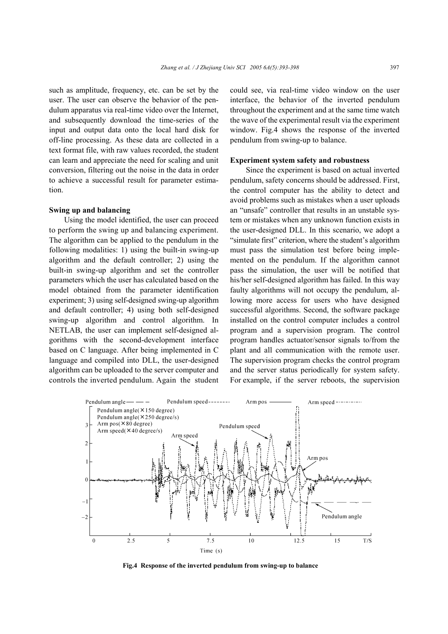such as amplitude, frequency, etc. can be set by the user. The user can observe the behavior of the pendulum apparatus via real-time video over the Internet, and subsequently download the time-series of the input and output data onto the local hard disk for off-line processing. As these data are collected in a text format file, with raw values recorded, the student can learn and appreciate the need for scaling and unit conversion, filtering out the noise in the data in order to achieve a successful result for parameter estimation.

#### **Swing up and balancing**

Using the model identified, the user can proceed to perform the swing up and balancing experiment. The algorithm can be applied to the pendulum in the following modalities: 1) using the built-in swing-up algorithm and the default controller; 2) using the built-in swing-up algorithm and set the controller parameters which the user has calculated based on the model obtained from the parameter identification experiment; 3) using self-designed swing-up algorithm and default controller; 4) using both self-designed swing-up algorithm and control algorithm. In NETLAB, the user can implement self-designed algorithms with the second-development interface based on C language. After being implemented in C language and compiled into DLL, the user-designed algorithm can be uploaded to the server computer and controls the inverted pendulum. Again the student could see, via real-time video window on the user interface, the behavior of the inverted pendulum throughout the experiment and at the same time watch the wave of the experimental result via the experiment window. Fig.4 shows the response of the inverted pendulum from swing-up to balance.

#### **Experiment system safety and robustness**

Since the experiment is based on actual inverted pendulum, safety concerns should be addressed. First, the control computer has the ability to detect and avoid problems such as mistakes when a user uploads an "unsafe" controller that results in an unstable system or mistakes when any unknown function exists in the user-designed DLL. In this scenario, we adopt a "simulate first" criterion, where the student's algorithm must pass the simulation test before being implemented on the pendulum. If the algorithm cannot pass the simulation, the user will be notified that his/her self-designed algorithm has failed. In this way faulty algorithms will not occupy the pendulum, allowing more access for users who have designed successful algorithms. Second, the software package installed on the control computer includes a control program and a supervision program. The control program handles actuator/sensor signals to/from the plant and all communication with the remote user. The supervision program checks the control program and the server status periodically for system safety. For example, if the server reboots, the supervision



**Fig.4 Response of the inverted pendulum from swing-up to balance**